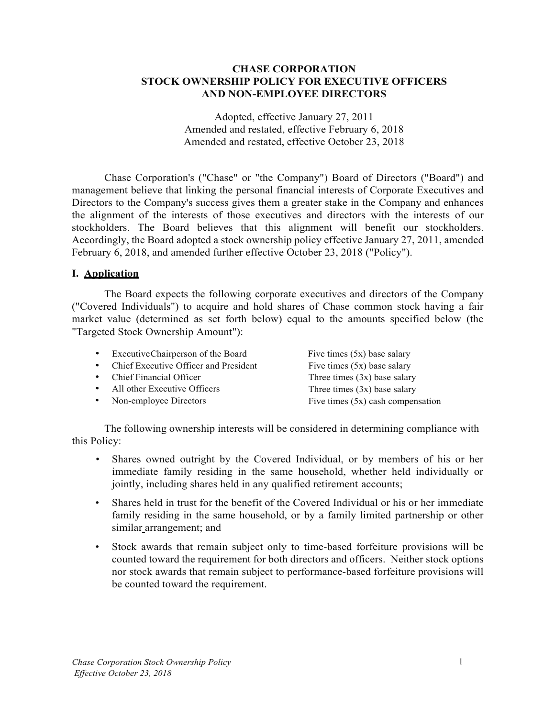#### **CHASE CORPORATION STOCK OWNERSHIP POLICY FOR EXECUTIVE OFFICERS AND NON-EMPLOYEE DIRECTORS**

Adopted, effective January 27, 2011 Amended and restated, effective February 6, 2018 Amended and restated, effective October 23, 2018

Chase Corporation's ("Chase" or "the Company") Board of Directors ("Board") and management believe that linking the personal financial interests of Corporate Executives and Directors to the Company's success gives them a greater stake in the Company and enhances the alignment of the interests of those executives and directors with the interests of our stockholders. The Board believes that this alignment will benefit our stockholders. Accordingly, the Board adopted a stock ownership policy effective January 27, 2011, amended February 6, 2018, and amended further effective October 23, 2018 ("Policy").

#### **I. Application**

The Board expects the following corporate executives and directors of the Company ("Covered Individuals") to acquire and hold shares of Chase common stock having a fair market value (determined as set forth below) equal to the amounts specified below (the "Targeted Stock Ownership Amount"):

| Executive Chairperson of the Board    | Five times $(5x)$ base salary       |
|---------------------------------------|-------------------------------------|
| Chief Executive Officer and President | Five times $(5x)$ base salary       |
| • Chief Financial Officer             | Three times $(3x)$ base salary      |
| • All other Executive Officers        | Three times $(3x)$ base salary      |
| Non-employee Directors                | Five times $(5x)$ cash compensation |

The following ownership interests will be considered in determining compliance with this Policy:

- Shares owned outright by the Covered Individual, or by members of his or her immediate family residing in the same household, whether held individually or jointly, including shares held in any qualified retirement accounts;
- Shares held in trust for the benefit of the Covered Individual or his or her immediate family residing in the same household, or by a family limited partnership or other similar arrangement; and
- Stock awards that remain subject only to time-based forfeiture provisions will be counted toward the requirement for both directors and officers. Neither stock options nor stock awards that remain subject to performance-based forfeiture provisions will be counted toward the requirement.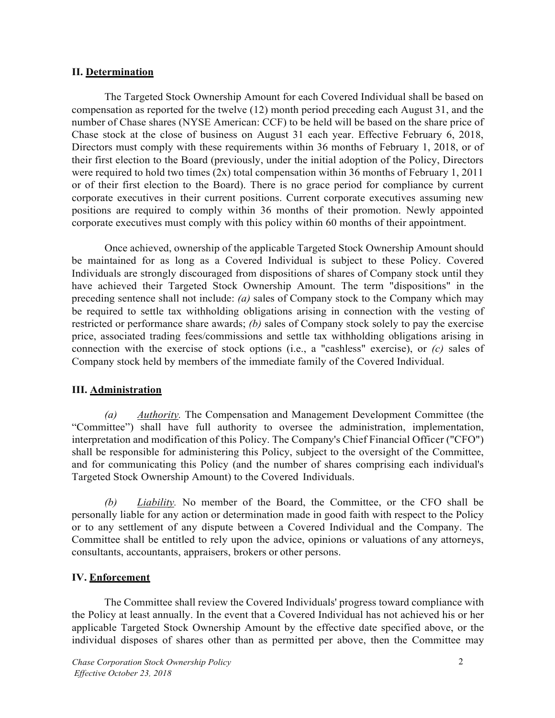#### **II. Determination**

The Targeted Stock Ownership Amount for each Covered Individual shall be based on compensation as reported for the twelve (12) month period preceding each August 31, and the number of Chase shares (NYSE American: CCF) to be held will be based on the share price of Chase stock at the close of business on August 31 each year. Effective February 6, 2018, Directors must comply with these requirements within 36 months of February 1, 2018, or of their first election to the Board (previously, under the initial adoption of the Policy, Directors were required to hold two times (2x) total compensation within 36 months of February 1, 2011 or of their first election to the Board). There is no grace period for compliance by current corporate executives in their current positions. Current corporate executives assuming new positions are required to comply within 36 months of their promotion. Newly appointed corporate executives must comply with this policy within 60 months of their appointment.

Once achieved, ownership of the applicable Targeted Stock Ownership Amount should be maintained for as long as a Covered Individual is subject to these Policy. Covered Individuals are strongly discouraged from dispositions of shares of Company stock until they have achieved their Targeted Stock Ownership Amount. The term "dispositions" in the preceding sentence shall not include: *(a)* sales of Company stock to the Company which may be required to settle tax withholding obligations arising in connection with the vesting of restricted or performance share awards; *(b)* sales of Company stock solely to pay the exercise price, associated trading fees/commissions and settle tax withholding obligations arising in connection with the exercise of stock options (i.e., a "cashless" exercise), or *(c)* sales of Company stock held by members of the immediate family of the Covered Individual.

## **III. Administration**

*(a) Authority.* The Compensation and Management Development Committee (the "Committee") shall have full authority to oversee the administration, implementation, interpretation and modification of this Policy. The Company's Chief Financial Officer ("CFO") shall be responsible for administering this Policy, subject to the oversight of the Committee, and for communicating this Policy (and the number of shares comprising each individual's Targeted Stock Ownership Amount) to the Covered Individuals.

*(b) Liability.* No member of the Board, the Committee, or the CFO shall be personally liable for any action or determination made in good faith with respect to the Policy or to any settlement of any dispute between a Covered Individual and the Company. The Committee shall be entitled to rely upon the advice, opinions or valuations of any attorneys, consultants, accountants, appraisers, brokers or other persons.

## **IV. Enforcement**

The Committee shall review the Covered Individuals' progress toward compliance with the Policy at least annually. In the event that a Covered Individual has not achieved his or her applicable Targeted Stock Ownership Amount by the effective date specified above, or the individual disposes of shares other than as permitted per above, then the Committee may